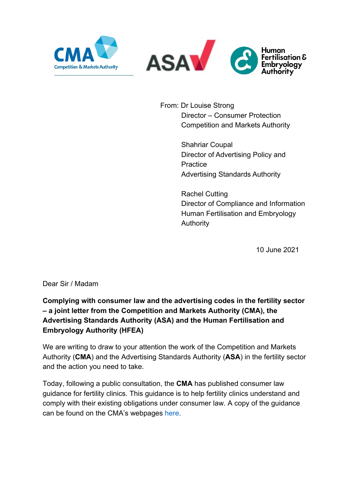

l,



From: Dr Louise Strong Director – Consumer Protection Competition and Markets Authority

> Shahriar Coupal Director of Advertising Policy and **Practice** Advertising Standards Authority

Rachel Cutting Director of Compliance and Information Human Fertilisation and Embryology **Authority** 

10 June 2021

Dear Sir / Madam

# **Complying with consumer law and the advertising codes in the fertility sector – a joint letter from the Competition and Markets Authority (CMA), the Advertising Standards Authority (ASA) and the Human Fertilisation and Embryology Authority (HFEA)**

We are writing to draw to your attention the work of the Competition and Markets Authority (**CMA**) and the Advertising Standards Authority (**ASA**) in the fertility sector and the action you need to take.

Today, following a public consultation, the **CMA** has published consumer law guidance for fertility clinics. This guidance is to help fertility clinics understand and comply with their existing obligations under consumer law. A copy of the guidance can be found on the CMA's webpages [here.](https://www.gov.uk/government/publications/fertility-treatment-a-guide-for-clinics)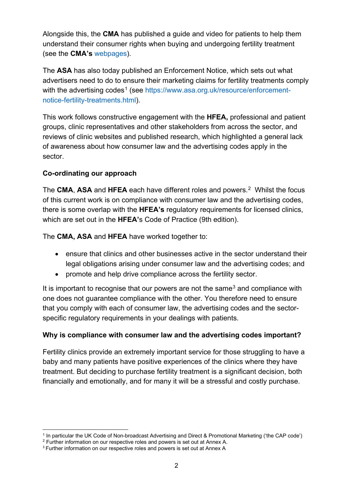Alongside this, the **CMA** has published a guide and video for patients to help them understand their consumer rights when buying and undergoing fertility treatment (see the **CMA's** [webpages\)](https://www.gov.uk/cma-cases/self-funded-ivf-consumer-law-guidance).

The **ASA** has also today published an Enforcement Notice, which sets out what advertisers need to do to ensure their marketing claims for fertility treatments comply with the advertising codes<sup>[1](#page-1-0)</sup> (see [https://www.asa.org.uk/resource/enforcement](https://www.asa.org.uk/resource/enforcement-notice-fertility-treatments.html)[notice-fertility-treatments.html\)](https://www.asa.org.uk/resource/enforcement-notice-fertility-treatments.html).

This work follows constructive engagement with the **HFEA,** professional and patient groups, clinic representatives and other stakeholders from across the sector, and reviews of clinic websites and published research, which highlighted a general lack of awareness about how consumer law and the advertising codes apply in the sector.

# **Co-ordinating our approach**

The **CMA**, **ASA** and **HFEA** each have different roles and powers.[2](#page-1-1) Whilst the focus of this current work is on compliance with consumer law and the advertising codes, there is some overlap with the **HFEA's** regulatory requirements for licensed clinics, which are set out in the **HFEA'**s Code of Practice (9th edition).

The **CMA, ASA** and **HFEA** have worked together to:

- ensure that clinics and other businesses active in the sector understand their legal obligations arising under consumer law and the advertising codes; and
- promote and help drive compliance across the fertility sector.

It is important to recognise that our powers are not the same<sup>[3](#page-1-2)</sup> and compliance with one does not guarantee compliance with the other. You therefore need to ensure that you comply with each of consumer law, the advertising codes and the sectorspecific regulatory requirements in your dealings with patients.

### **Why is compliance with consumer law and the advertising codes important?**

Fertility clinics provide an extremely important service for those struggling to have a baby and many patients have positive experiences of the clinics where they have treatment. But deciding to purchase fertility treatment is a significant decision, both financially and emotionally, and for many it will be a stressful and costly purchase.

<span id="page-1-0"></span><sup>1</sup> In particular the UK Code of Non-broadcast Advertising and Direct & Promotional Marketing ('the CAP code')

<span id="page-1-1"></span><sup>2</sup> Further information on our respective roles and powers is set out at Annex A.

<span id="page-1-2"></span><sup>&</sup>lt;sup>3</sup> Further information on our respective roles and powers is set out at Annex A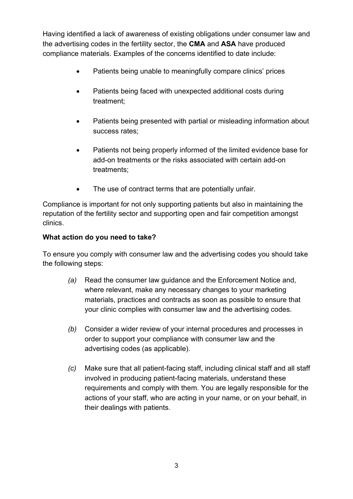Having identified a lack of awareness of existing obligations under consumer law and the advertising codes in the fertility sector, the **CMA** and **ASA** have produced compliance materials. Examples of the concerns identified to date include:

- Patients being unable to meaningfully compare clinics' prices
- Patients being faced with unexpected additional costs during treatment;
- Patients being presented with partial or misleading information about success rates;
- Patients not being properly informed of the limited evidence base for add-on treatments or the risks associated with certain add-on treatments;
- The use of contract terms that are potentially unfair.

Compliance is important for not only supporting patients but also in maintaining the reputation of the fertility sector and supporting open and fair competition amongst clinics.

### **What action do you need to take?**

To ensure you comply with consumer law and the advertising codes you should take the following steps:

- *(a)* Read the consumer law guidance and the Enforcement Notice and, where relevant, make any necessary changes to your marketing materials, practices and contracts as soon as possible to ensure that your clinic complies with consumer law and the advertising codes.
- *(b)* Consider a wider review of your internal procedures and processes in order to support your compliance with consumer law and the advertising codes (as applicable).
- *(c)* Make sure that all patient-facing staff, including clinical staff and all staff involved in producing patient-facing materials, understand these requirements and comply with them. You are legally responsible for the actions of your staff, who are acting in your name, or on your behalf, in their dealings with patients.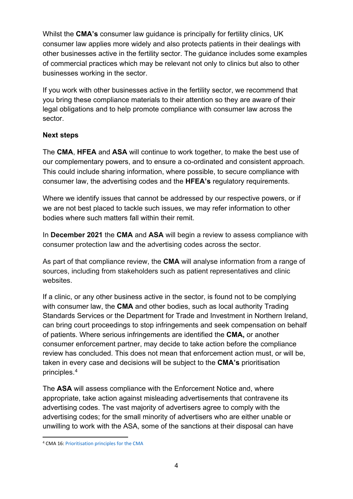Whilst the **CMA's** consumer law guidance is principally for fertility clinics, UK consumer law applies more widely and also protects patients in their dealings with other businesses active in the fertility sector. The guidance includes some examples of commercial practices which may be relevant not only to clinics but also to other businesses working in the sector.

If you work with other businesses active in the fertility sector, we recommend that you bring these compliance materials to their attention so they are aware of their legal obligations and to help promote compliance with consumer law across the sector.

# **Next steps**

The **CMA**, **HFEA** and **ASA** will continue to work together, to make the best use of our complementary powers, and to ensure a co-ordinated and consistent approach. This could include sharing information, where possible, to secure compliance with consumer law, the advertising codes and the **HFEA's** regulatory requirements.

Where we identify issues that cannot be addressed by our respective powers, or if we are not best placed to tackle such issues, we may refer information to other bodies where such matters fall within their remit.

In **December 2021** the **CMA** and **ASA** will begin a review to assess compliance with consumer protection law and the advertising codes across the sector.

As part of that compliance review, the **CMA** will analyse information from a range of sources, including from stakeholders such as patient representatives and clinic websites.

If a clinic, or any other business active in the sector, is found not to be complying with consumer law, the **CMA** and other bodies, such as local authority Trading Standards Services or the Department for Trade and Investment in Northern Ireland, can bring court proceedings to stop infringements and seek compensation on behalf of patients. Where serious infringements are identified the **CMA,** or another consumer enforcement partner, may decide to take action before the compliance review has concluded. This does not mean that enforcement action must, or will be, taken in every case and decisions will be subject to the **CMA's** prioritisation principles. [4](#page-3-0)

The **ASA** will assess compliance with the Enforcement Notice and, where appropriate, take action against misleading advertisements that contravene its advertising codes. The vast majority of advertisers agree to comply with the advertising codes; for the small minority of advertisers who are either unable or unwilling to work with the ASA, some of the sanctions at their disposal can have

<span id="page-3-0"></span><sup>4</sup> CMA 16[: Prioritisation principles for the CMA](https://assets.publishing.service.gov.uk/government/uploads/system/uploads/attachment_data/file/885956/prioritisation_principles_accessible_v.pdf)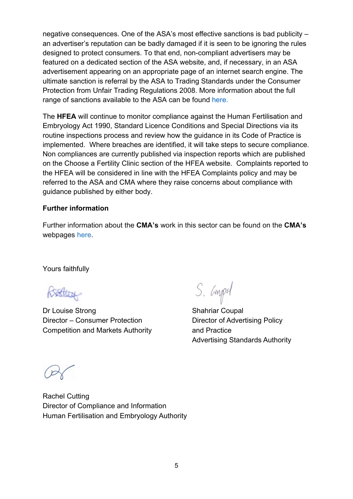negative consequences. One of the ASA's most effective sanctions is bad publicity – an advertiser's reputation can be badly damaged if it is seen to be ignoring the rules designed to protect consumers. To that end, non-compliant advertisers may be featured on a dedicated section of the ASA website, and, if necessary, in an ASA advertisement appearing on an appropriate page of an internet search engine. The ultimate sanction is referral by the ASA to Trading Standards under the Consumer Protection from Unfair Trading Regulations 2008. More information about the full range of sanctions available to the ASA can be found [here.](https://www.asa.org.uk/codes-and-rulings/sanctions.html)

The **HFEA** will continue to monitor compliance against the Human Fertilisation and Embryology Act 1990, Standard Licence Conditions and Special Directions via its routine inspections process and review how the guidance in its Code of Practice is implemented. Where breaches are identified, it will take steps to secure compliance. Non compliances are currently published via inspection reports which are published on the Choose a Fertility Clinic section of the HFEA website. Complaints reported to the HFEA will be considered in line with the HFEA Complaints policy and may be referred to the ASA and CMA where they raise concerns about compliance with guidance published by either body.

#### **Further information**

Further information about the **CMA's** work in this sector can be found on the **CMA's** webpages [here.](https://www.gov.uk/cma-cases/self-funded-ivf-consumer-law-guidance)

Yours faithfully

Better

Dr Louise Strong Shahriar Coupal Director – Consumer Protection Director of Advertising Policy Competition and Markets Authority **and Practice** 

S. Compol

Advertising Standards Authority

Rachel Cutting Director of Compliance and Information Human Fertilisation and Embryology Authority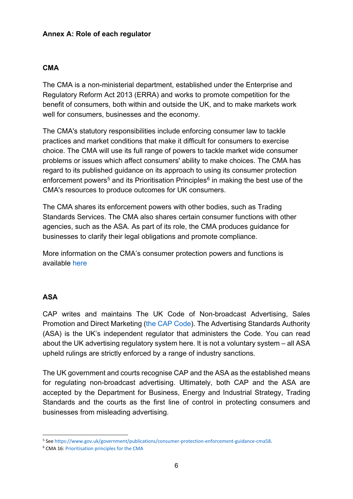#### **Annex A: Role of each regulator**

#### **CMA**

The CMA is a non-ministerial department, established under the Enterprise and Regulatory Reform Act 2013 (ERRA) and works to promote competition for the benefit of consumers, both within and outside the UK, and to make markets work well for consumers, businesses and the economy.

The CMA's statutory responsibilities include enforcing consumer law to tackle practices and market conditions that make it difficult for consumers to exercise choice. The CMA will use its full range of powers to tackle market wide consumer problems or issues which affect consumers' ability to make choices. The CMA has regard to its published guidance on its approach to using its consumer protection enforcement powers<sup>[5](#page-5-0)</sup> and its Prioritisation Principles<sup>[6](#page-5-1)</sup> in making the best use of the CMA's resources to produce outcomes for UK consumers.

The CMA shares its enforcement powers with other bodies, such as Trading Standards Services. The CMA also shares certain consumer functions with other agencies, such as the ASA. As part of its role, the CMA produces guidance for businesses to clarify their legal obligations and promote compliance.

More information on the CMA's consumer protection powers and functions is available [here](https://www.gov.uk/government/publications/consumer-protection-enforcement-guidance-cma58)

#### **ASA**

CAP writes and maintains The UK Code of Non-broadcast Advertising, Sales Promotion and Direct Marketing [\(the CAP Code\)](https://www.asa.org.uk/codes-and-rulings/advertising-codes.html). The Advertising Standards Authority (ASA) is the UK's independent regulator that administers the Code. You can read about the UK advertising regulatory system [here.](https://www.asa.org.uk/about-asa-and-cap.html) It is not a voluntary system – all ASA upheld rulings are strictly enforced by a range of [industry sanctions.](https://www.asa.org.uk/codes-and-rulings/sanctions.html)

The UK government and courts recognise CAP and the ASA as the [established means](https://www.gov.uk/marketing-advertising-law/advertising-codes-of-practice) for regulating non-broadcast advertising. Ultimately, both CAP and the ASA are accepted by the Department for Business, Energy and Industrial Strategy, Trading Standards and the courts as the first line of control in protecting consumers and businesses from misleading advertising.

<span id="page-5-0"></span><sup>5</sup> Se[e https://www.gov.uk/government/publications/consumer-protection-enforcement-guidance-cma58.](https://www.gov.uk/government/publications/consumer-protection-enforcement-guidance-cma58)

<span id="page-5-1"></span><sup>6</sup> CMA 16: [Prioritisation principles for the CMA](https://assets.publishing.service.gov.uk/government/uploads/system/uploads/attachment_data/file/885956/prioritisation_principles_accessible_v.pdf)